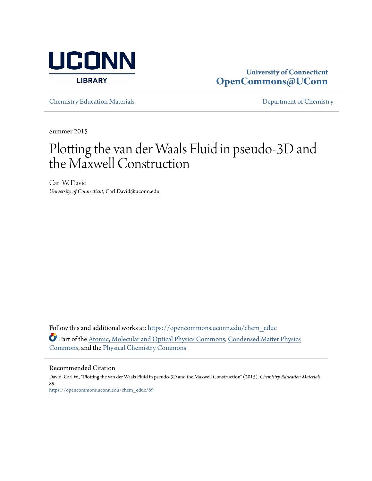

# **University of Connecticut [OpenCommons@UConn](https://opencommons.uconn.edu?utm_source=opencommons.uconn.edu%2Fchem_educ%2F89&utm_medium=PDF&utm_campaign=PDFCoverPages)**

[Chemistry Education Materials](https://opencommons.uconn.edu/chem_educ?utm_source=opencommons.uconn.edu%2Fchem_educ%2F89&utm_medium=PDF&utm_campaign=PDFCoverPages) **[Department of Chemistry](https://opencommons.uconn.edu/chem?utm_source=opencommons.uconn.edu%2Fchem_educ%2F89&utm_medium=PDF&utm_campaign=PDFCoverPages)** 

Summer 2015

# Plotting the van der Waals Fluid in pseudo-3D and the Maxwell Construction

Carl W. David *University of Connecticut*, Carl.David@uconn.edu

Follow this and additional works at: [https://opencommons.uconn.edu/chem\\_educ](https://opencommons.uconn.edu/chem_educ?utm_source=opencommons.uconn.edu%2Fchem_educ%2F89&utm_medium=PDF&utm_campaign=PDFCoverPages) Part of the [Atomic, Molecular and Optical Physics Commons,](http://network.bepress.com/hgg/discipline/195?utm_source=opencommons.uconn.edu%2Fchem_educ%2F89&utm_medium=PDF&utm_campaign=PDFCoverPages) [Condensed Matter Physics](http://network.bepress.com/hgg/discipline/197?utm_source=opencommons.uconn.edu%2Fchem_educ%2F89&utm_medium=PDF&utm_campaign=PDFCoverPages) [Commons,](http://network.bepress.com/hgg/discipline/197?utm_source=opencommons.uconn.edu%2Fchem_educ%2F89&utm_medium=PDF&utm_campaign=PDFCoverPages) and the [Physical Chemistry Commons](http://network.bepress.com/hgg/discipline/139?utm_source=opencommons.uconn.edu%2Fchem_educ%2F89&utm_medium=PDF&utm_campaign=PDFCoverPages)

# Recommended Citation

David, Carl W., "Plotting the van der Waals Fluid in pseudo-3D and the Maxwell Construction" (2015). *Chemistry Education Materials*. 89. [https://opencommons.uconn.edu/chem\\_educ/89](https://opencommons.uconn.edu/chem_educ/89?utm_source=opencommons.uconn.edu%2Fchem_educ%2F89&utm_medium=PDF&utm_campaign=PDFCoverPages)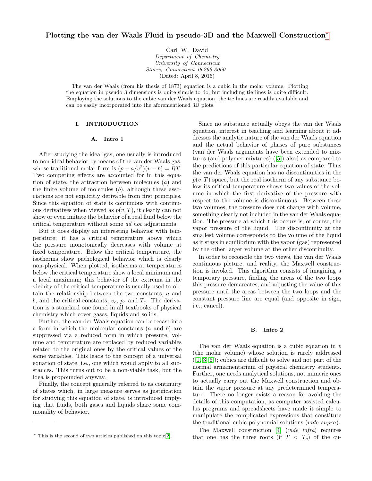# Plotting the van der Waals Fluid in pseudo-3D and the Maxwell Construction[∗](#page-1-0)

Carl W. David Department of Chemistry University of Connecticut Storrs, Connecticut 06269-3060 (Dated: April 8, 2016)

The van der Waals (from his thesis of 1873) equation is a cubic in the molar volume. Plotting the equation in pseudo 3 dimensions is quite simple to do, but including tie lines is quite difficult. Employing the solutions to the cubic van der Waals equation, the tie lines are readily available and can be easily incorporated into the aforementioned 3D plots.

# I. INTRODUCTION

#### A. Intro 1

After studying the ideal gas, one usually is introduced to non-ideal behavior by means of the van der Waals gas, whose traditional molar form is  $(p + a/v^2)(v - b) = RT$ . Two competing effects are accounted for in this equation of state, the attraction between molecules (a) and the finite volume of molecules  $(b)$ , although these associations are not explicitly derivable from first principles. Since this equation of state is continuous with continuous derivatives when viewed as  $p(v, T)$ , it clearly can not show or even imitate the behavior of a real fluid below the critical temperature without some ad hoc adjustments.

But it does display an interesting behavior with temperature; it has a critical temperature above which the pressure monotonically decreases with volume at fixed temperature. Below the critical temperature, the isotherms show pathological behavior which is clearly non-physical. When plotted, isotherms at temperatures below the critical temperature show a local minimum and a local maximum; this behavior of the extrema in the vicinity of the critical temperature is usually used to obtain the relationship between the two constants, a and b, and the critical constants,  $v_c$ ,  $p_c$  and  $T_c$ . The derivation is a standard one found in all textbooks of physical chemistry which cover gases, liquids and solids.

Further, the van der Waals equation can be recast into a form in which the molecular constants (a and b) are suppressed via a reduced form in which pressure, volume and temperature are replaced by reduced variables related to the original ones by the critical values of the same variables. This leads to the concept of a universal equation of state, i.e., one which would apply to all substances. This turns out to be a non-viable task, but the idea is propounded anyway.

Finally, the concept generally referred to as continuity of states which, in large measure serves as justification for studying this equation of state, is introduced implying that fluids, both gases and liquids share some commonality of behavior.

Since no substance actually obeys the van der Waals equation, interest in teaching and learning about it addresses the analytic nature of the van der Waals equation and the actual behavior of phases of pure substances (van der Waals arguments have been extended to mixtures (and polymer mixtures) ([\[5\]](#page-5-1)) also) as compared to the predictions of this particular equation of state. Thus the van der Waals equation has no discontinuities in the  $p(v, T)$  space, but the real isotherm of any substance below its critical temperature shows two values of the volume in which the first derivative of the pressure with respect to the volume is discontinuous. Between these two volumes, the pressure does not change with volume, something clearly not included in the van der Waals equation. The pressure at which this occurs is, of course, the vapor pressure of the liquid. The discontinuity at the smallest volume corresponds to the volume of the liquid as it stays in equilibrium with the vapor (gas) represented by the other larger volume at the other discontinuity.

In order to reconcile the two views, the van der Waals continuous picture, and reality, the Maxwell construction is invoked. This algorithm consists of imagining a temporary pressure, finding the areas of the two loops this pressure demarcates, and adjusting the value of this pressure until the areas between the two loops and the constant pressure line are equal (and opposite in sign, i.e., cancel).

#### B. Intro 2

The van der Waals equation is a cubic equation in v (the molar volume) whose solution is rarely addressed  $([1, 3, 6])$  $([1, 3, 6])$  $([1, 3, 6])$  $([1, 3, 6])$  $([1, 3, 6])$ ; cubics are difficult to solve and not part of the normal armamentarium of physical chemistry students. Further, one needs analytical solutions, not numeric ones to actually carry out the Maxwell construction and obtain the vapor pressure at any predetermined temperature. There no longer exists a reason for avoiding the details of this computation, as computer assisted calculus programs and spreadsheets have made it simple to manipulate the complicated expressions that constitute the traditional cubic polynomial solutions (vide supra).

The Maxwell construction [\[4\]](#page-5-5) (vide infra) requires that one has the three roots (if  $T < T_c$ ) of the cu-

<span id="page-1-0"></span><sup>∗</sup> This is the second of two articles published on this topic[\[2\]](#page-5-0).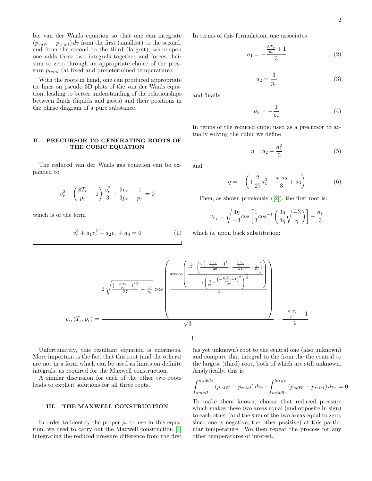bic van der Waals equation so that one can integrate  $(p_{vdW} - p_{trial}) dv$  from the first (smallest) to the second, and from the second to the third (largest), whereupon one adds these two integrals together and forces their sum to zero through an appropriate choice of the pressure  $p_{trial}$  (at fixed and predetermined temperature).

With the roots in hand, one can produced appropriate tie lines on pseudo 3D plots of the van der Waals equation, leading to better understanding of the relationships between fluids (liquids and gases) and their positions in the phase diagram of a pure substance.

# II. PRECURSOR TO GENERATING ROOTS OF THE CUBIC EQUATION

The reduced van der Waals gas equation can be expanded to

$$
v_r^3 - \left(\frac{8T_r}{p_r} + 1\right)\frac{v_r^2}{3} + \frac{9v_r}{3p_r} - \frac{1}{p_r} = 0
$$

which is of the form

$$
v_r^3 + a_1 v_r^2 + a_2 v_r + a_3 = 0 \tag{1}
$$

In terms of this formulation, one associates

$$
a_1 = -\frac{\frac{8T_r}{p_r} + 1}{3} \tag{2}
$$

$$
a_2 = \frac{3}{p_r} \tag{3}
$$

and finally

$$
a_3 = -\frac{1}{p_r} \tag{4}
$$

In terms of the reduced cubic used as a precursor to actually solving the cubic we define

$$
\eta = a_2 - \frac{a_1^2}{3} \tag{5}
$$

and

$$
q = -\left(+\frac{2}{27}a_1^3 - \frac{a_1a_2}{3} + a_3\right) \tag{6}
$$

Then, as shown previously ([\[2\]](#page-5-0)), the first root is:

$$
v_{r_1} = \sqrt{\frac{4\eta}{-3}} \cos \left[ \frac{1}{3} \cos^{-1} \left( \frac{3q}{4\eta} \sqrt{\frac{-3}{\eta}} \right) \right] - \frac{a_1}{3}
$$

which is, upon back substitution:



Unfortunately, this resultant equation is enormous. More important is the fact that this root (and the others) are not in a form which can be used as limits on definite integrals, as required for the Maxwell construction.

A similar discussion for each of the other two roots leads to explicit solutions for all three roots.

# III. THE MAXWELL CONSTRUCTION

In order to identify the proper  $p_r$  to use in this equation, we need to carry out the Maxwell construction [\[4\]](#page-5-5) integrating the reduced pressure difference from the first

(as yet unknown) root to the central one (also unknown) and compare that integral to the from the the central to the largest (third) root, both of which are still unknown. Analytically, this is

$$
\int_{small}^{middle} (p_{vdW} - p_{trial}) dv_r + \int_{middle}^{large} (p_{vdW} - p_{trial}) dv_r = 0
$$

To make them known, choose that reduced pressure which makes these two areas equal (and opposite in sign) to each other (and the sum of the two areas equal to zero, since one is negative, the other positive) at this particular temperature. We then repeat the process for any other temperatures of interest.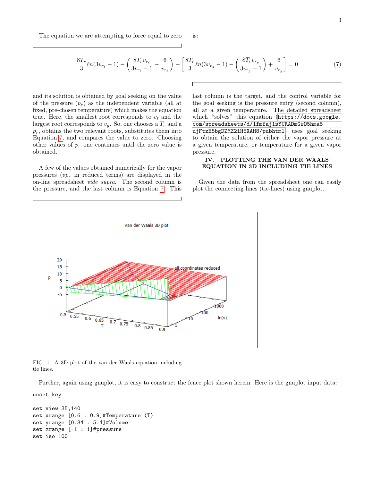<span id="page-3-0"></span>
$$
\frac{8T_r}{3}\ln(3v_{r_\ell}-1) - \left(\frac{8T_r v_{r_\ell}}{3v_{r_\ell}-1} - \frac{6}{v_{r_\ell}}\right) - \left[\frac{8T_r}{3}\ln(3v_{r_g}-1) - \left(\frac{8T_r v_{r_g}}{3v_{r_g}-1}\right) + \frac{6}{v_{r_g}}\right] = 0\tag{7}
$$

pressure.

and its solution is obtained by goal seeking on the value of the pressure  $(p_r)$  as the independent variable (all at fixed, pre-chosen temperature) which makes the equation true. Here, the smallest root corresponds to  $v_{\ell}$  and the largest root corresponds to  $v_a$ . So, one chooses a  $T_r$  and a  $p_r$ , obtains the two relevant roots, substitutes them into Equation [7,](#page-3-0) and compares the value to zero. Choosing other values of  $p_r$  one continues until the zero value is obtained.

A few of the values obtained numerically for the vapor pressures  $(vp_r)$  in reduced terms) are displayed in the on-line spreadsheet vide supra. The second column is the pressure, and the last column is Equation [7.](#page-3-0) This

last column is the target, and the control variable for the goal seeking is the pressure entry (second column), all at a given temperature. The detailed spreadsheet which "solves" this equation ([https://docs.google.](https://docs.google.com/spreadsheets/d/1fmfaj1sYURADmGwO5hma8_ujFtzE5bgDZMZ2iH5XAH8/pubhtml) [com/spreadsheets/d/1fmfaj1sYURADmGwO5hma8\\_](https://docs.google.com/spreadsheets/d/1fmfaj1sYURADmGwO5hma8_ujFtzE5bgDZMZ2iH5XAH8/pubhtml) [ujFtzE5bgDZMZ2iH5XAH8/pubhtml](https://docs.google.com/spreadsheets/d/1fmfaj1sYURADmGwO5hma8_ujFtzE5bgDZMZ2iH5XAH8/pubhtml)) uses goal seeking to obtain the solution of either the vapor pressure at a given temperature, or temperature for a given vapor

## IV. PLOTTING THE VAN DER WAALS EQUATION IN 3D INCLUDING TIE LINES

Given the data from the spreadsheet one can easily plot the connecting lines (tie-lines) using gnuplot.



FIG. 1. A 3D plot of the van der Waals equation including tie lines.

Further, again using gnuplot, it is easy to construct the fence plot shown herein. Here is the gnuplot input data:

unset key

```
set view 35,140
set xrange [0.6 : 0.9]#Temperature (T)
set yrange [0.34 : 5.4]#Volume
set zrange [-1 : 1]#pressure
set iso 100
```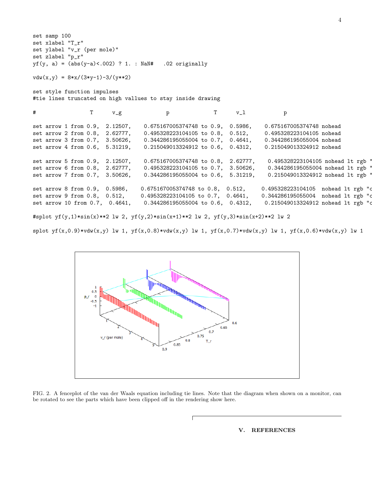set samp 100 set xlabel "T\_r" set ylabel "v\_r (per mole)" set zlabel "p\_r"  $yf(y, a) = (abs(y-a) < .002)$  ? 1. : NaN# .02 originally  $vdw(x,y) = 8*x/(3*y-1)-3/(y*x)$ set style function impulses #tie lines truncated on high vallues to stay inside drawing # T v\_g p T v\_l p set arrow 1 from 0.9, 2.12507, 0.675167005374748 to 0.9, 0.5986, 0.675167005374748 nohead set arrow 2 from 0.8, 2.62777, 0.495328223104105 to 0.8, 0.512, 0.495328223104105 nohead set arrow 3 from 0.7, 3.50626, 0.344286195055004 to 0.7, 0.4641, 0.344286195055004 nohead set arrow 4 from 0.6, 5.31219, 0.215049013324912 to 0.6, 0.4312, 0.215049013324912 nohead set arrow 5 from 0.9, 2.12507, 0.675167005374748 to 0.8, 2.62777, 0.495328223104105 nohead lt rgb ' set arrow 6 from 0.8, 2.62777, 0.495328223104105 to 0.7, 3.50626, 0.344286195055004 nohead lt rgb ' set arrow 7 from 0.7, 3.50626, 0.344286195055004 to 0.6, 5.31219, 0.215049013324912 nohead lt rgb ' set arrow 8 from 0.9, 0.5986, 0.675167005374748 to 0.8, 0.512, 0.495328223104105 nohead lt rgb "c set arrow 9 from 0.8, 0.512, 0.495328223104105 to 0.7, 0.4641, 0.344286195055004 nohead 1t rgb "c set arrow 10 from 0.7, 0.4641, 0.344286195055004 to 0.6, 0.4312, 0.215049013324912 nohead lt rgb "c #splot yf(y,1)\*sin(x)\*\*2 lw 2, yf(y,2)\*sin(x+1)\*\*2 lw 2, yf(y,3)\*sin(x+2)\*\*2 lw 2

 $splot yf(x,0.9)*vdw(x,y)$  lw 1,  $yf(x,0.8)*vdw(x,y)$  lw 1,  $yf(x,0.7)*vdw(x,y)$  lw 1,  $yf(x,0.6)*vdw(x,y)$  lw 1



FIG. 2. A fenceplot of the van der Waals equation including tie lines. Note that the diagram when shown on a monitor, can be rotated to see the parts which have been clipped off in the rendering show here.

## V. REFERENCES